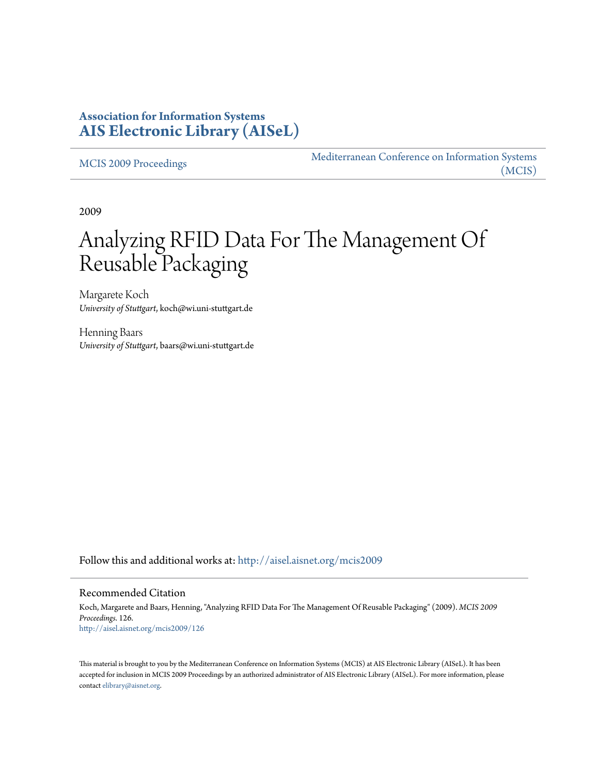## **Association for Information Systems [AIS Electronic Library \(AISeL\)](http://aisel.aisnet.org?utm_source=aisel.aisnet.org%2Fmcis2009%2F126&utm_medium=PDF&utm_campaign=PDFCoverPages)**

[MCIS 2009 Proceedings](http://aisel.aisnet.org/mcis2009?utm_source=aisel.aisnet.org%2Fmcis2009%2F126&utm_medium=PDF&utm_campaign=PDFCoverPages)

[Mediterranean Conference on Information Systems](http://aisel.aisnet.org/mcis?utm_source=aisel.aisnet.org%2Fmcis2009%2F126&utm_medium=PDF&utm_campaign=PDFCoverPages) [\(MCIS\)](http://aisel.aisnet.org/mcis?utm_source=aisel.aisnet.org%2Fmcis2009%2F126&utm_medium=PDF&utm_campaign=PDFCoverPages)

2009

# Analyzing RFID Data For The Management Of Reusable Packaging

Margarete Koch *University of Stuttgart*, koch@wi.uni-stuttgart.de

Henning Baars *University of Stuttgart*, baars@wi.uni-stuttgart.de

Follow this and additional works at: [http://aisel.aisnet.org/mcis2009](http://aisel.aisnet.org/mcis2009?utm_source=aisel.aisnet.org%2Fmcis2009%2F126&utm_medium=PDF&utm_campaign=PDFCoverPages)

#### Recommended Citation

Koch, Margarete and Baars, Henning, "Analyzing RFID Data For The Management Of Reusable Packaging" (2009). *MCIS 2009 Proceedings*. 126. [http://aisel.aisnet.org/mcis2009/126](http://aisel.aisnet.org/mcis2009/126?utm_source=aisel.aisnet.org%2Fmcis2009%2F126&utm_medium=PDF&utm_campaign=PDFCoverPages)

This material is brought to you by the Mediterranean Conference on Information Systems (MCIS) at AIS Electronic Library (AISeL). It has been accepted for inclusion in MCIS 2009 Proceedings by an authorized administrator of AIS Electronic Library (AISeL). For more information, please contact [elibrary@aisnet.org.](mailto:elibrary@aisnet.org%3E)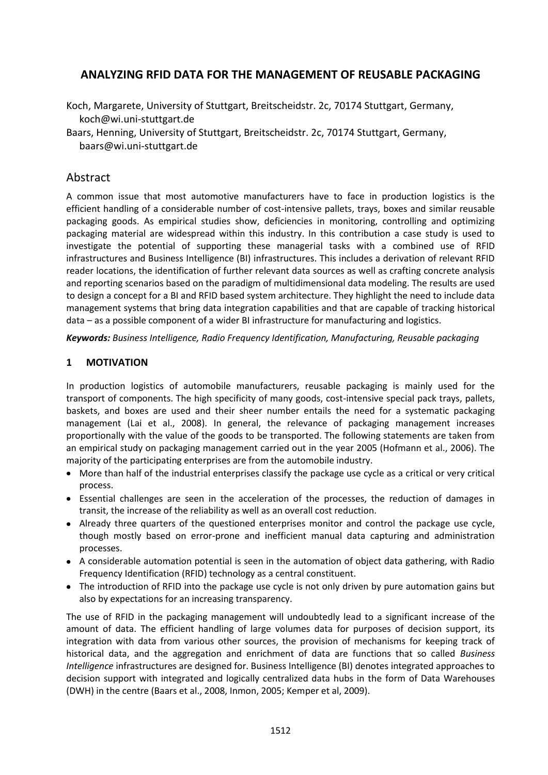## **ANALYZING RFID DATA FOR THE MANAGEMENT OF REUSABLE PACKAGING**

- Koch, Margarete, University of Stuttgart, Breitscheidstr. 2c, 70174 Stuttgart, Germany, koch@wi.uni-stuttgart.de
- Baars, Henning, University of Stuttgart, Breitscheidstr. 2c, 70174 Stuttgart, Germany, baars@wi.uni-stuttgart.de

## Abstract

A common issue that most automotive manufacturers have to face in production logistics is the efficient handling of a considerable number of cost-intensive pallets, trays, boxes and similar reusable packaging goods. As empirical studies show, deficiencies in monitoring, controlling and optimizing packaging material are widespread within this industry. In this contribution a case study is used to investigate the potential of supporting these managerial tasks with a combined use of RFID infrastructures and Business Intelligence (BI) infrastructures. This includes a derivation of relevant RFID reader locations, the identification of further relevant data sources as well as crafting concrete analysis and reporting scenarios based on the paradigm of multidimensional data modeling. The results are used to design a concept for a BI and RFID based system architecture. They highlight the need to include data management systems that bring data integration capabilities and that are capable of tracking historical data – as a possible component of a wider BI infrastructure for manufacturing and logistics.

*Keywords: Business Intelligence, Radio Frequency Identification, Manufacturing, Reusable packaging*

### **1 MOTIVATION**

In production logistics of automobile manufacturers, reusable packaging is mainly used for the transport of components. The high specificity of many goods, cost-intensive special pack trays, pallets, baskets, and boxes are used and their sheer number entails the need for a systematic packaging management (Lai et al., 2008). In general, the relevance of packaging management increases proportionally with the value of the goods to be transported. The following statements are taken from an empirical study on packaging management carried out in the year 2005 (Hofmann et al., 2006). The majority of the participating enterprises are from the automobile industry.

- More than half of the industrial enterprises classify the package use cycle as a critical or very critical process.
- Essential challenges are seen in the acceleration of the processes, the reduction of damages in transit, the increase of the reliability as well as an overall cost reduction.
- Already three quarters of the questioned enterprises monitor and control the package use cycle, though mostly based on error-prone and inefficient manual data capturing and administration processes.
- A considerable automation potential is seen in the automation of object data gathering, with Radio Frequency Identification (RFID) technology as a central constituent.
- The introduction of RFID into the package use cycle is not only driven by pure automation gains but also by expectations for an increasing transparency.

The use of RFID in the packaging management will undoubtedly lead to a significant increase of the amount of data. The efficient handling of large volumes data for purposes of decision support, its integration with data from various other sources, the provision of mechanisms for keeping track of historical data, and the aggregation and enrichment of data are functions that so called *Business Intelligence* infrastructures are designed for. Business Intelligence (BI) denotes integrated approaches to decision support with integrated and logically centralized data hubs in the form of Data Warehouses (DWH) in the centre (Baars et al., 2008, Inmon, 2005; Kemper et al, 2009).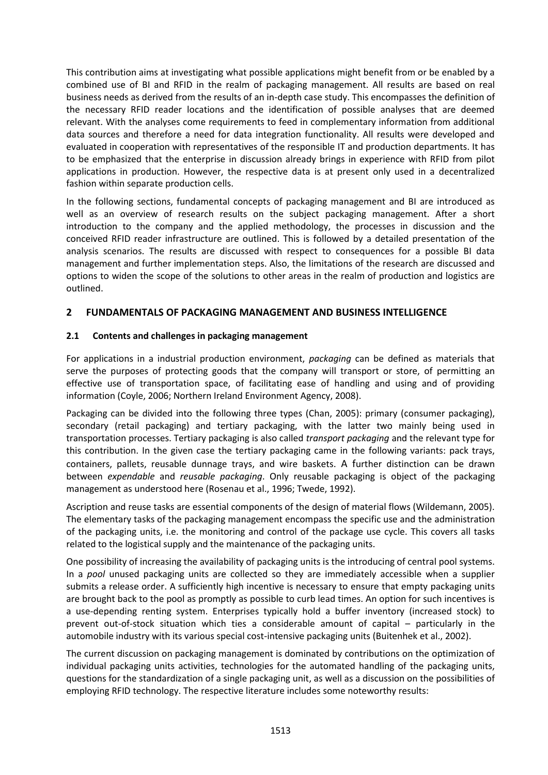This contribution aims at investigating what possible applications might benefit from or be enabled by a combined use of BI and RFID in the realm of packaging management. All results are based on real business needs as derived from the results of an in-depth case study. This encompasses the definition of the necessary RFID reader locations and the identification of possible analyses that are deemed relevant. With the analyses come requirements to feed in complementary information from additional data sources and therefore a need for data integration functionality. All results were developed and evaluated in cooperation with representatives of the responsible IT and production departments. It has to be emphasized that the enterprise in discussion already brings in experience with RFID from pilot applications in production. However, the respective data is at present only used in a decentralized fashion within separate production cells.

In the following sections, fundamental concepts of packaging management and BI are introduced as well as an overview of research results on the subject packaging management. After a short introduction to the company and the applied methodology, the processes in discussion and the conceived RFID reader infrastructure are outlined. This is followed by a detailed presentation of the analysis scenarios. The results are discussed with respect to consequences for a possible BI data management and further implementation steps. Also, the limitations of the research are discussed and options to widen the scope of the solutions to other areas in the realm of production and logistics are outlined.

### **2 FUNDAMENTALS OF PACKAGING MANAGEMENT AND BUSINESS INTELLIGENCE**

#### **2.1 Contents and challenges in packaging management**

For applications in a industrial production environment, *packaging* can be defined as materials that serve the purposes of protecting goods that the company will transport or store, of permitting an effective use of transportation space, of facilitating ease of handling and using and of providing information (Coyle, 2006; Northern Ireland Environment Agency, 2008).

Packaging can be divided into the following three types (Chan, 2005): primary (consumer packaging), secondary (retail packaging) and tertiary packaging, with the latter two mainly being used in transportation processes. Tertiary packaging is also called *transport packaging* and the relevant type for this contribution. In the given case the tertiary packaging came in the following variants: pack trays, containers, pallets, reusable dunnage trays, and wire baskets. A further distinction can be drawn between *expendable* and *reusable packaging*. Only reusable packaging is object of the packaging management as understood here (Rosenau et al., 1996; Twede, 1992).

Ascription and reuse tasks are essential components of the design of material flows (Wildemann, 2005). The elementary tasks of the packaging management encompass the specific use and the administration of the packaging units, i.e. the monitoring and control of the package use cycle. This covers all tasks related to the logistical supply and the maintenance of the packaging units.

One possibility of increasing the availability of packaging units is the introducing of central pool systems. In a *pool* unused packaging units are collected so they are immediately accessible when a supplier submits a release order. A sufficiently high incentive is necessary to ensure that empty packaging units are brought back to the pool as promptly as possible to curb lead times. An option for such incentives is a use-depending renting system. Enterprises typically hold a buffer inventory (increased stock) to prevent out-of-stock situation which ties a considerable amount of capital – particularly in the automobile industry with its various special cost-intensive packaging units (Buitenhek et al., 2002).

The current discussion on packaging management is dominated by contributions on the optimization of individual packaging units activities, technologies for the automated handling of the packaging units, questions for the standardization of a single packaging unit, as well as a discussion on the possibilities of employing RFID technology. The respective literature includes some noteworthy results: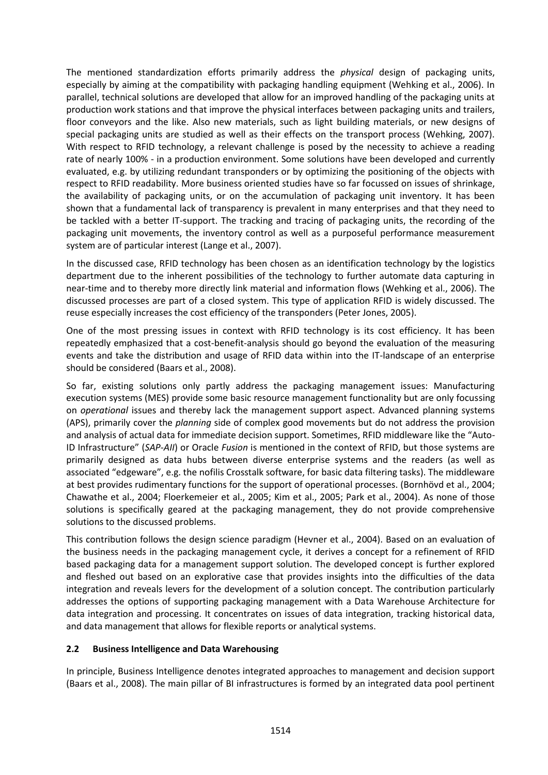The mentioned standardization efforts primarily address the *physical* design of packaging units, especially by aiming at the compatibility with packaging handling equipment (Wehking et al., 2006). In parallel, technical solutions are developed that allow for an improved handling of the packaging units at production work stations and that improve the physical interfaces between packaging units and trailers, floor conveyors and the like. Also new materials, such as light building materials, or new designs of special packaging units are studied as well as their effects on the transport process (Wehking, 2007). With respect to RFID technology, a relevant challenge is posed by the necessity to achieve a reading rate of nearly 100% - in a production environment. Some solutions have been developed and currently evaluated, e.g. by utilizing redundant transponders or by optimizing the positioning of the objects with respect to RFID readability. More business oriented studies have so far focussed on issues of shrinkage, the availability of packaging units, or on the accumulation of packaging unit inventory. It has been shown that a fundamental lack of transparency is prevalent in many enterprises and that they need to be tackled with a better IT-support. The tracking and tracing of packaging units, the recording of the packaging unit movements, the inventory control as well as a purposeful performance measurement system are of particular interest (Lange et al., 2007).

In the discussed case, RFID technology has been chosen as an identification technology by the logistics department due to the inherent possibilities of the technology to further automate data capturing in near-time and to thereby more directly link material and information flows (Wehking et al., 2006). The discussed processes are part of a closed system. This type of application RFID is widely discussed. The reuse especially increases the cost efficiency of the transponders (Peter Jones, 2005).

One of the most pressing issues in context with RFID technology is its cost efficiency. It has been repeatedly emphasized that a cost-benefit-analysis should go beyond the evaluation of the measuring events and take the distribution and usage of RFID data within into the IT-landscape of an enterprise should be considered (Baars et al., 2008).

So far, existing solutions only partly address the packaging management issues: Manufacturing execution systems (MES) provide some basic resource management functionality but are only focussing on *operational* issues and thereby lack the management support aspect. Advanced planning systems (APS), primarily cover the *planning* side of complex good movements but do not address the provision and analysis of actual data for immediate decision support. Sometimes, RFID middleware like the "Auto-ID Infrastructure" (*SAP-AII*) or Oracle *Fusion* is mentioned in the context of RFID, but those systems are primarily designed as data hubs between diverse enterprise systems and the readers (as well as associated "edgeware", e.g. the nofilis Crosstalk software, for basic data filtering tasks). The middleware at best provides rudimentary functions for the support of operational processes. (Bornhövd et al., 2004; Chawathe et al., 2004; Floerkemeier et al., 2005; Kim et al., 2005; Park et al., 2004). As none of those solutions is specifically geared at the packaging management, they do not provide comprehensive solutions to the discussed problems.

This contribution follows the design science paradigm (Hevner et al., 2004). Based on an evaluation of the business needs in the packaging management cycle, it derives a concept for a refinement of RFID based packaging data for a management support solution. The developed concept is further explored and fleshed out based on an explorative case that provides insights into the difficulties of the data integration and reveals levers for the development of a solution concept. The contribution particularly addresses the options of supporting packaging management with a Data Warehouse Architecture for data integration and processing. It concentrates on issues of data integration, tracking historical data, and data management that allows for flexible reports or analytical systems.

#### **2.2 Business Intelligence and Data Warehousing**

In principle, Business Intelligence denotes integrated approaches to management and decision support (Baars et al., 2008). The main pillar of BI infrastructures is formed by an integrated data pool pertinent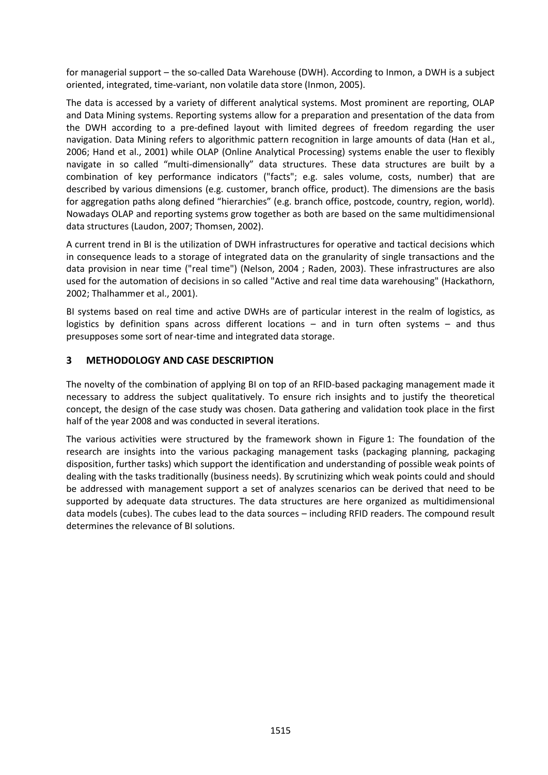for managerial support – the so-called Data Warehouse (DWH). According to Inmon, a DWH is a subject oriented, integrated, time-variant, non volatile data store (Inmon, 2005).

The data is accessed by a variety of different analytical systems. Most prominent are reporting, OLAP and Data Mining systems. Reporting systems allow for a preparation and presentation of the data from the DWH according to a pre-defined layout with limited degrees of freedom regarding the user navigation. Data Mining refers to algorithmic pattern recognition in large amounts of data (Han et al., 2006; Hand et al., 2001) while OLAP (Online Analytical Processing) systems enable the user to flexibly navigate in so called "multi-dimensionally" data structures. These data structures are built by a combination of key performance indicators ("facts"; e.g. sales volume, costs, number) that are described by various dimensions (e.g. customer, branch office, product). The dimensions are the basis for aggregation paths along defined "hierarchies" (e.g. branch office, postcode, country, region, world). Nowadays OLAP and reporting systems grow together as both are based on the same multidimensional data structures (Laudon, 2007; Thomsen, 2002).

A current trend in BI is the utilization of DWH infrastructures for operative and tactical decisions which in consequence leads to a storage of integrated data on the granularity of single transactions and the data provision in near time ("real time") (Nelson, 2004 ; Raden, 2003). These infrastructures are also used for the automation of decisions in so called "Active and real time data warehousing" (Hackathorn, 2002; Thalhammer et al., 2001).

BI systems based on real time and active DWHs are of particular interest in the realm of logistics, as logistics by definition spans across different locations – and in turn often systems – and thus presupposes some sort of near-time and integrated data storage.

#### **3 METHODOLOGY AND CASE DESCRIPTION**

The novelty of the combination of applying BI on top of an RFID-based packaging management made it necessary to address the subject qualitatively. To ensure rich insights and to justify the theoretical concept, the design of the case study was chosen. Data gathering and validation took place in the first half of the year 2008 and was conducted in several iterations.

The various activities were structured by the framework shown in Figure 1: The foundation of the research are insights into the various packaging management tasks (packaging planning, packaging disposition, further tasks) which support the identification and understanding of possible weak points of dealing with the tasks traditionally (business needs). By scrutinizing which weak points could and should be addressed with management support a set of analyzes scenarios can be derived that need to be supported by adequate data structures. The data structures are here organized as multidimensional data models (cubes). The cubes lead to the data sources – including RFID readers. The compound result determines the relevance of BI solutions.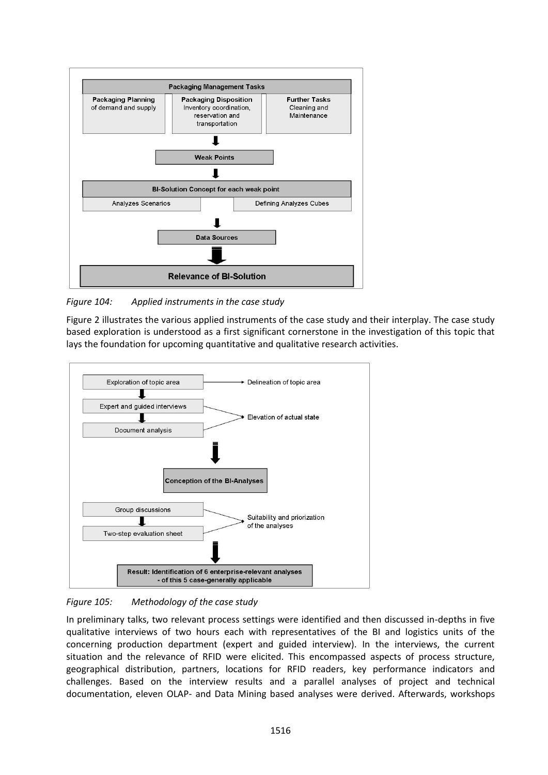

*Figure 104: Applied instruments in the case study*

Figure 2 illustrates the various applied instruments of the case study and their interplay. The case study based exploration is understood as a first significant cornerstone in the investigation of this topic that lays the foundation for upcoming quantitative and qualitative research activities.



*Figure 105: Methodology of the case study*

In preliminary talks, two relevant process settings were identified and then discussed in-depths in five qualitative interviews of two hours each with representatives of the BI and logistics units of the concerning production department (expert and guided interview). In the interviews, the current situation and the relevance of RFID were elicited. This encompassed aspects of process structure, geographical distribution, partners, locations for RFID readers, key performance indicators and challenges. Based on the interview results and a parallel analyses of project and technical documentation, eleven OLAP- and Data Mining based analyses were derived. Afterwards, workshops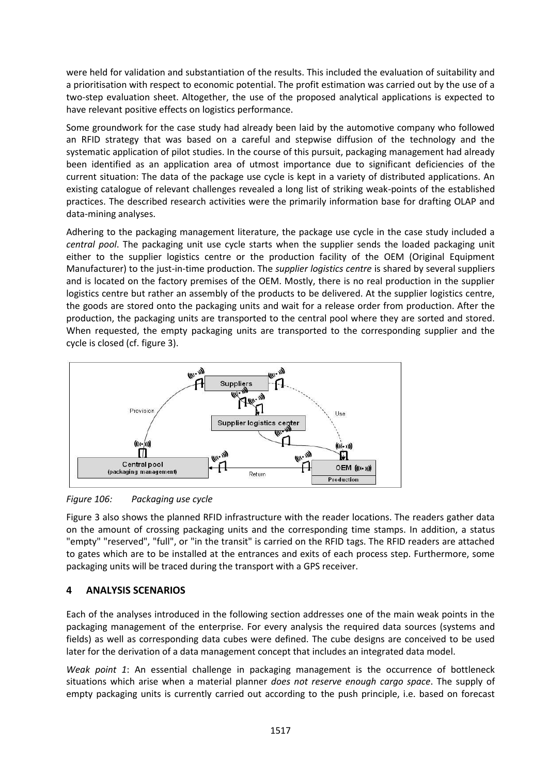were held for validation and substantiation of the results. This included the evaluation of suitability and a prioritisation with respect to economic potential. The profit estimation was carried out by the use of a two-step evaluation sheet. Altogether, the use of the proposed analytical applications is expected to have relevant positive effects on logistics performance.

Some groundwork for the case study had already been laid by the automotive company who followed an RFID strategy that was based on a careful and stepwise diffusion of the technology and the systematic application of pilot studies. In the course of this pursuit, packaging management had already been identified as an application area of utmost importance due to significant deficiencies of the current situation: The data of the package use cycle is kept in a variety of distributed applications. An existing catalogue of relevant challenges revealed a long list of striking weak-points of the established practices. The described research activities were the primarily information base for drafting OLAP and data-mining analyses.

Adhering to the packaging management literature, the package use cycle in the case study included a *central pool*. The packaging unit use cycle starts when the supplier sends the loaded packaging unit either to the supplier logistics centre or the production facility of the OEM (Original Equipment Manufacturer) to the just-in-time production. The *supplier logistics centre* is shared by several suppliers and is located on the factory premises of the OEM. Mostly, there is no real production in the supplier logistics centre but rather an assembly of the products to be delivered. At the supplier logistics centre, the goods are stored onto the packaging units and wait for a release order from production. After the production, the packaging units are transported to the central pool where they are sorted and stored. When requested, the empty packaging units are transported to the corresponding supplier and the cycle is closed (cf. figure 3).



*Figure 106: Packaging use cycle*

Figure 3 also shows the planned RFID infrastructure with the reader locations. The readers gather data on the amount of crossing packaging units and the corresponding time stamps. In addition, a status "empty" "reserved", "full", or "in the transit" is carried on the RFID tags. The RFID readers are attached to gates which are to be installed at the entrances and exits of each process step. Furthermore, some packaging units will be traced during the transport with a GPS receiver.

## **4 ANALYSIS SCENARIOS**

Each of the analyses introduced in the following section addresses one of the main weak points in the packaging management of the enterprise. For every analysis the required data sources (systems and fields) as well as corresponding data cubes were defined. The cube designs are conceived to be used later for the derivation of a data management concept that includes an integrated data model.

*Weak point 1*: An essential challenge in packaging management is the occurrence of bottleneck situations which arise when a material planner *does not reserve enough cargo space*. The supply of empty packaging units is currently carried out according to the push principle, i.e. based on forecast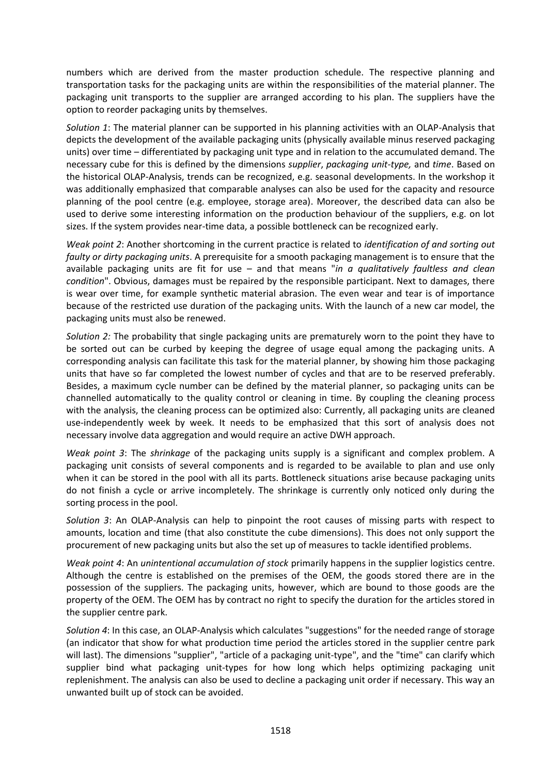numbers which are derived from the master production schedule. The respective planning and transportation tasks for the packaging units are within the responsibilities of the material planner. The packaging unit transports to the supplier are arranged according to his plan. The suppliers have the option to reorder packaging units by themselves.

*Solution 1*: The material planner can be supported in his planning activities with an OLAP-Analysis that depicts the development of the available packaging units (physically available minus reserved packaging units) over time – differentiated by packaging unit type and in relation to the accumulated demand. The necessary cube for this is defined by the dimensions *supplier*, *packaging unit-type,* and *time*. Based on the historical OLAP-Analysis, trends can be recognized, e.g. seasonal developments. In the workshop it was additionally emphasized that comparable analyses can also be used for the capacity and resource planning of the pool centre (e.g. employee, storage area). Moreover, the described data can also be used to derive some interesting information on the production behaviour of the suppliers, e.g. on lot sizes. If the system provides near-time data, a possible bottleneck can be recognized early.

*Weak point 2*: Another shortcoming in the current practice is related to *identification of and sorting out faulty or dirty packaging units*. A prerequisite for a smooth packaging management is to ensure that the available packaging units are fit for use – and that means "*in a qualitatively faultless and clean condition*". Obvious, damages must be repaired by the responsible participant. Next to damages, there is wear over time, for example synthetic material abrasion. The even wear and tear is of importance because of the restricted use duration of the packaging units. With the launch of a new car model, the packaging units must also be renewed.

*Solution 2:* The probability that single packaging units are prematurely worn to the point they have to be sorted out can be curbed by keeping the degree of usage equal among the packaging units. A corresponding analysis can facilitate this task for the material planner, by showing him those packaging units that have so far completed the lowest number of cycles and that are to be reserved preferably. Besides, a maximum cycle number can be defined by the material planner, so packaging units can be channelled automatically to the quality control or cleaning in time. By coupling the cleaning process with the analysis, the cleaning process can be optimized also: Currently, all packaging units are cleaned use-independently week by week. It needs to be emphasized that this sort of analysis does not necessary involve data aggregation and would require an active DWH approach.

*Weak point 3*: The *shrinkage* of the packaging units supply is a significant and complex problem. A packaging unit consists of several components and is regarded to be available to plan and use only when it can be stored in the pool with all its parts. Bottleneck situations arise because packaging units do not finish a cycle or arrive incompletely. The shrinkage is currently only noticed only during the sorting process in the pool.

*Solution 3*: An OLAP-Analysis can help to pinpoint the root causes of missing parts with respect to amounts, location and time (that also constitute the cube dimensions). This does not only support the procurement of new packaging units but also the set up of measures to tackle identified problems.

*Weak point 4*: An *unintentional accumulation of stock* primarily happens in the supplier logistics centre. Although the centre is established on the premises of the OEM, the goods stored there are in the possession of the suppliers. The packaging units, however, which are bound to those goods are the property of the OEM. The OEM has by contract no right to specify the duration for the articles stored in the supplier centre park.

*Solution 4*: In this case, an OLAP-Analysis which calculates "suggestions" for the needed range of storage (an indicator that show for what production time period the articles stored in the supplier centre park will last). The dimensions "supplier", "article of a packaging unit-type", and the "time" can clarify which supplier bind what packaging unit-types for how long which helps optimizing packaging unit replenishment. The analysis can also be used to decline a packaging unit order if necessary. This way an unwanted built up of stock can be avoided.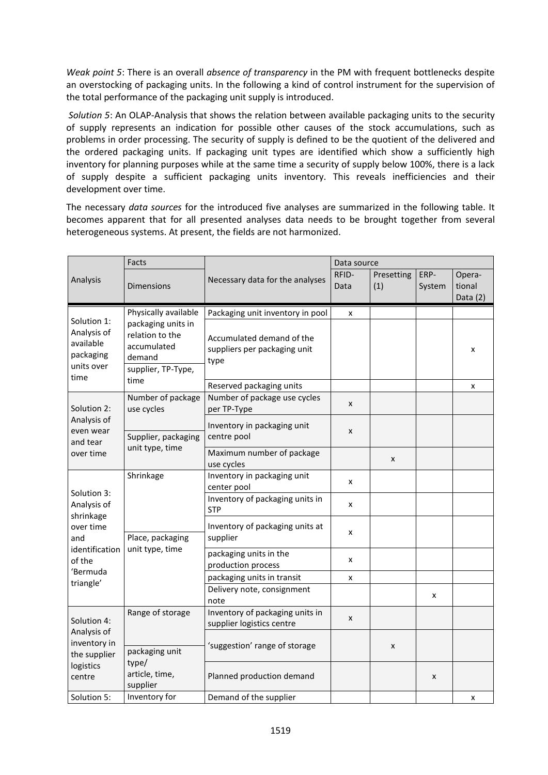*Weak point 5*: There is an overall *absence of transparency* in the PM with frequent bottlenecks despite an overstocking of packaging units. In the following a kind of control instrument for the supervision of the total performance of the packaging unit supply is introduced.

*Solution 5*: An OLAP-Analysis that shows the relation between available packaging units to the security of supply represents an indication for possible other causes of the stock accumulations, such as problems in order processing. The security of supply is defined to be the quotient of the delivered and the ordered packaging units. If packaging unit types are identified which show a sufficiently high inventory for planning purposes while at the same time a security of supply below 100%, there is a lack of supply despite a sufficient packaging units inventory. This reveals inefficiencies and their development over time.

The necessary *data sources* for the introduced five analyses are summarized in the following table. It becomes apparent that for all presented analyses data needs to be brought together from several heterogeneous systems. At present, the fields are not harmonized.

| Analysis                                                                                                         | Facts                                                                                                                |                                                                   | Data source   |                   |                |                                |
|------------------------------------------------------------------------------------------------------------------|----------------------------------------------------------------------------------------------------------------------|-------------------------------------------------------------------|---------------|-------------------|----------------|--------------------------------|
|                                                                                                                  | <b>Dimensions</b>                                                                                                    | Necessary data for the analyses                                   | RFID-<br>Data | Presetting<br>(1) | ERP-<br>System | Opera-<br>tional<br>Data $(2)$ |
| Solution 1:<br>Analysis of<br>available<br>packaging<br>units over<br>time                                       | Physically available<br>packaging units in<br>relation to the<br>accumulated<br>demand<br>supplier, TP-Type,<br>time | Packaging unit inventory in pool                                  | x             |                   |                |                                |
|                                                                                                                  |                                                                                                                      | Accumulated demand of the<br>suppliers per packaging unit<br>type |               |                   |                | x                              |
|                                                                                                                  |                                                                                                                      | Reserved packaging units                                          |               |                   |                | x                              |
| Solution 2:<br>Analysis of<br>even wear<br>and tear<br>over time                                                 | Number of package<br>use cycles                                                                                      | Number of package use cycles<br>per TP-Type                       | x             |                   |                |                                |
|                                                                                                                  | Supplier, packaging<br>unit type, time                                                                               | Inventory in packaging unit<br>centre pool                        | X             |                   |                |                                |
|                                                                                                                  |                                                                                                                      | Maximum number of package<br>use cycles                           |               | x                 |                |                                |
| Solution 3:<br>Analysis of<br>shrinkage<br>over time<br>and<br>identification<br>of the<br>'Bermuda<br>triangle' | Shrinkage                                                                                                            | Inventory in packaging unit<br>center pool                        | x             |                   |                |                                |
|                                                                                                                  |                                                                                                                      | Inventory of packaging units in<br><b>STP</b>                     | x             |                   |                |                                |
|                                                                                                                  | Place, packaging<br>unit type, time                                                                                  | Inventory of packaging units at<br>supplier                       | x             |                   |                |                                |
|                                                                                                                  |                                                                                                                      | packaging units in the<br>production process                      | x             |                   |                |                                |
|                                                                                                                  |                                                                                                                      | packaging units in transit                                        | X             |                   |                |                                |
|                                                                                                                  |                                                                                                                      | Delivery note, consignment<br>note                                |               |                   | x              |                                |
| Solution 4:<br>Analysis of<br>inventory in<br>the supplier<br>logistics<br>centre                                | Range of storage                                                                                                     | Inventory of packaging units in<br>supplier logistics centre      | X             |                   |                |                                |
|                                                                                                                  | packaging unit<br>type/<br>article, time,<br>supplier                                                                | 'suggestion' range of storage                                     |               | x                 |                |                                |
|                                                                                                                  |                                                                                                                      | Planned production demand                                         |               |                   | x              |                                |
| Solution 5:                                                                                                      | Inventory for                                                                                                        | Demand of the supplier                                            |               |                   |                | x                              |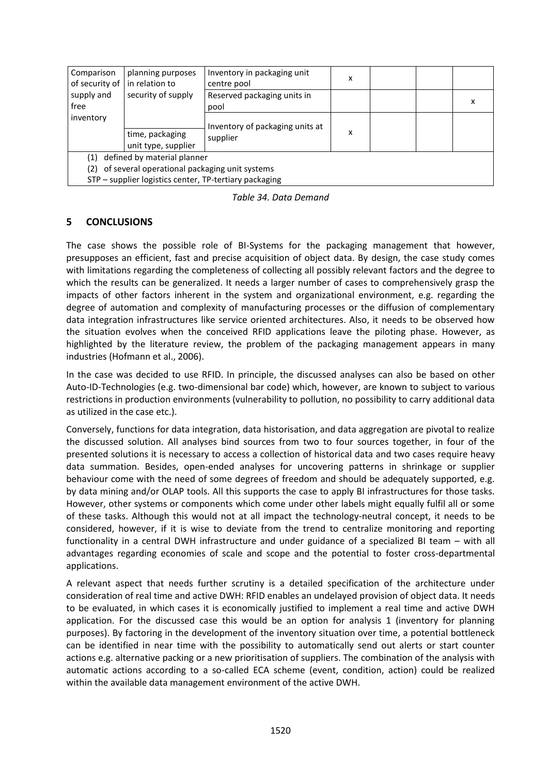| Comparison<br>of security of in relation to            | planning purposes                      | Inventory in packaging unit<br>centre pool | x |  |  |   |  |  |
|--------------------------------------------------------|----------------------------------------|--------------------------------------------|---|--|--|---|--|--|
| supply and<br>free                                     | security of supply                     | Reserved packaging units in<br>pool        |   |  |  | x |  |  |
| inventory                                              |                                        | Inventory of packaging units at            |   |  |  |   |  |  |
|                                                        | time, packaging<br>unit type, supplier | supplier                                   | x |  |  |   |  |  |
| defined by material planner<br>(1)                     |                                        |                                            |   |  |  |   |  |  |
| of several operational packaging unit systems<br>(2)   |                                        |                                            |   |  |  |   |  |  |
| STP - supplier logistics center, TP-tertiary packaging |                                        |                                            |   |  |  |   |  |  |

*Table 34. Data Demand*

### **5 CONCLUSIONS**

The case shows the possible role of BI-Systems for the packaging management that however, presupposes an efficient, fast and precise acquisition of object data. By design, the case study comes with limitations regarding the completeness of collecting all possibly relevant factors and the degree to which the results can be generalized. It needs a larger number of cases to comprehensively grasp the impacts of other factors inherent in the system and organizational environment, e.g. regarding the degree of automation and complexity of manufacturing processes or the diffusion of complementary data integration infrastructures like service oriented architectures. Also, it needs to be observed how the situation evolves when the conceived RFID applications leave the piloting phase. However, as highlighted by the literature review, the problem of the packaging management appears in many industries (Hofmann et al., 2006).

In the case was decided to use RFID. In principle, the discussed analyses can also be based on other Auto-ID-Technologies (e.g. two-dimensional bar code) which, however, are known to subject to various restrictions in production environments (vulnerability to pollution, no possibility to carry additional data as utilized in the case etc.).

Conversely, functions for data integration, data historisation, and data aggregation are pivotal to realize the discussed solution. All analyses bind sources from two to four sources together, in four of the presented solutions it is necessary to access a collection of historical data and two cases require heavy data summation. Besides, open-ended analyses for uncovering patterns in shrinkage or supplier behaviour come with the need of some degrees of freedom and should be adequately supported, e.g. by data mining and/or OLAP tools. All this supports the case to apply BI infrastructures for those tasks. However, other systems or components which come under other labels might equally fulfil all or some of these tasks. Although this would not at all impact the technology-neutral concept, it needs to be considered, however, if it is wise to deviate from the trend to centralize monitoring and reporting functionality in a central DWH infrastructure and under guidance of a specialized BI team – with all advantages regarding economies of scale and scope and the potential to foster cross-departmental applications.

A relevant aspect that needs further scrutiny is a detailed specification of the architecture under consideration of real time and active DWH: RFID enables an undelayed provision of object data. It needs to be evaluated, in which cases it is economically justified to implement a real time and active DWH application. For the discussed case this would be an option for analysis 1 (inventory for planning purposes). By factoring in the development of the inventory situation over time, a potential bottleneck can be identified in near time with the possibility to automatically send out alerts or start counter actions e.g. alternative packing or a new prioritisation of suppliers. The combination of the analysis with automatic actions according to a so-called ECA scheme (event, condition, action) could be realized within the available data management environment of the active DWH.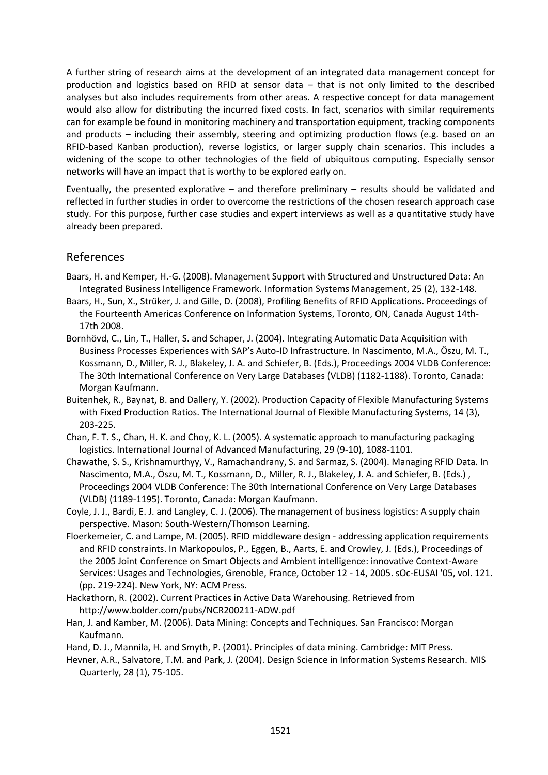A further string of research aims at the development of an integrated data management concept for production and logistics based on RFID at sensor data – that is not only limited to the described analyses but also includes requirements from other areas. A respective concept for data management would also allow for distributing the incurred fixed costs. In fact, scenarios with similar requirements can for example be found in monitoring machinery and transportation equipment, tracking components and products – including their assembly, steering and optimizing production flows (e.g. based on an RFID-based Kanban production), reverse logistics, or larger supply chain scenarios. This includes a widening of the scope to other technologies of the field of ubiquitous computing. Especially sensor networks will have an impact that is worthy to be explored early on.

Eventually, the presented explorative – and therefore preliminary – results should be validated and reflected in further studies in order to overcome the restrictions of the chosen research approach case study. For this purpose, further case studies and expert interviews as well as a quantitative study have already been prepared.

## References

- Baars, H. and Kemper, H.-G. (2008). Management Support with Structured and Unstructured Data: An Integrated Business Intelligence Framework. Information Systems Management, 25 (2), 132-148.
- Baars, H., Sun, X., Strüker, J. and Gille, D. (2008), Profiling Benefits of RFID Applications. Proceedings of the Fourteenth Americas Conference on Information Systems, Toronto, ON, Canada August 14th-17th 2008.
- Bornhövd, C., Lin, T., Haller, S. and Schaper, J. (2004). Integrating Automatic Data Acquisition with Business Processes Experiences with SAP's Auto-ID Infrastructure. In Nascimento, M.A., Öszu, M. T., Kossmann, D., Miller, R. J., Blakeley, J. A. and Schiefer, B. (Eds.), Proceedings 2004 VLDB Conference: The 30th International Conference on Very Large Databases (VLDB) (1182-1188). Toronto, Canada: Morgan Kaufmann.
- Buitenhek, R., Baynat, B. and Dallery, Y. (2002). Production Capacity of Flexible Manufacturing Systems with Fixed Production Ratios. The International Journal of Flexible Manufacturing Systems, 14 (3), 203-225.
- Chan, F. T. S., Chan, H. K. and Choy, K. L. (2005). A systematic approach to manufacturing packaging logistics. International Journal of Advanced Manufacturing, 29 (9-10), 1088-1101.
- Chawathe, S. S., Krishnamurthyy, V., Ramachandrany, S. and Sarmaz, S. (2004). Managing RFID Data. In Nascimento, M.A., Öszu, M. T., Kossmann, D., Miller, R. J., Blakeley, J. A. and Schiefer, B. (Eds.) , Proceedings 2004 VLDB Conference: The 30th International Conference on Very Large Databases (VLDB) (1189-1195). Toronto, Canada: Morgan Kaufmann.
- Coyle, J. J., Bardi, E. J. and Langley, C. J. (2006). The management of business logistics: A supply chain perspective. Mason: South-Western/Thomson Learning.
- Floerkemeier, C. and Lampe, M. (2005). RFID middleware design addressing application requirements and RFID constraints. In Markopoulos, P., Eggen, B., Aarts, E. and Crowley, J. (Eds.), Proceedings of the 2005 Joint Conference on Smart Objects and Ambient intelligence: innovative Context-Aware Services: Usages and Technologies, Grenoble, France, October 12 - 14, 2005. sOc-EUSAI '05, vol. 121. (pp. 219-224). New York, NY: ACM Press.
- Hackathorn, R. (2002). Current Practices in Active Data Warehousing. Retrieved from http://www.bolder.com/pubs/NCR200211-ADW.pdf
- Han, J. and Kamber, M. (2006). Data Mining: Concepts and Techniques. San Francisco: Morgan Kaufmann.
- Hand, D. J., Mannila, H. and Smyth, P. (2001). Principles of data mining. Cambridge: MIT Press.
- Hevner, A.R., Salvatore, T.M. and Park, J. (2004). Design Science in Information Systems Research. MIS Quarterly, 28 (1), 75-105.